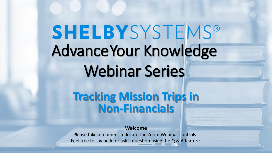# **SHELBYSYSTEMS®** AdvanceYour Knowledge Webinar Series

# **Tracking Mission Trips in Non-Financials**

**Welcome**

Please take a moment to locate the Zoom Webinar controls. Feel free to say hello or ask a question using the Q & A feature.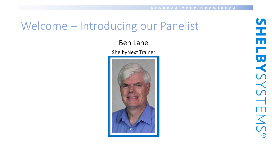#### Welcome – Introducing our Panelist

#### Ben Lane

ShelbyNext Trainer

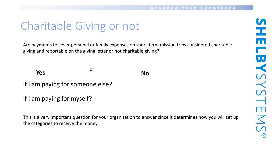# Charitable Giving or not

Are payments to cover personal or family expenses on short-term mission trips considered charitable giving and reportable on the giving letter or not charitable giving?

or **Yes No** 

If I am paying for someone else?

If I am paying for myself?

This is a very important question for your organization to answer since it determines how you will set up the categories to receive the money.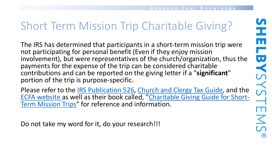# Short Term Mission Trip Charitable Giving?

The IRS has determined that participants in a short-term mission trip were not participating for personal benefit (Even if they enjoy mission involvement), but were representatives of the church/organization, thus the payments for the expense of the trip can be considered charitable contributions and can be reported on the giving letter if a "**significant**" portion of the trip is purpose-specific.

Please refer to the [IRS Publication 526](https://www.irs.gov/forms-pubs/about-publication-526), [Church and Clergy Tax Guide](https://www.ecfa.church/TaxBooks/Default.aspx), and the [ECFA website as well as their book called, "Charitable Giving Guide for Short-](https://www.amazon.com/Charitable-Giving-Guide-Short-Term-Mission/dp/1936233142)Term Mission Trips" for reference and information.

Do not take my word for it, do your research!!!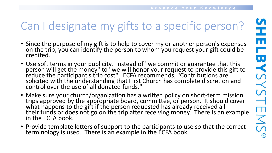# Can I designate my gifts to a specific person?

- Since the purpose of my gift is to help to cover my or another person's expenses on the trip, you can identify the person to whom you request your gift could be credited.
- Use soft terms in your publicity. Instead of "we commit or guarantee that this person will get the money" to "we will honor your **request** to provide this gift to reduce the participant's trip cost". ECFA recommends, "Contributions are solicited with the understanding that First Church has complete discretion and control over the use of all donated funds."
- Make sure your church/organization has a written policy on short-term mission trips approved by the appropriate board, committee, or person. It should cover what happens to the gift if the person requested has already received all their funds or does not go on the trip after receiving money. There is an example in the ECFA book.
- Provide template letters of support to the participants to use so that the correct terminology is used. There is an example in the ECFA book.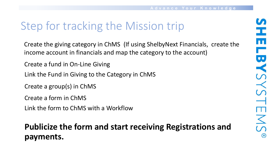# Step for tracking the Mission trip

Create the giving category in ChMS (If using ShelbyNext Financials, create the income account in financials and map the category to the account)

- Create a fund in On-Line Giving
- Link the Fund in Giving to the Category in ChMS
- Create a group(s) in ChMS
- Create a form in ChMS
- Link the form to ChMS with a Workflow

#### **Publicize the form and start receiving Registrations and payments.**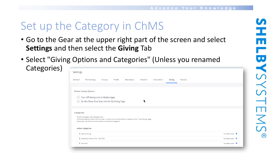## Set up the Category in ChMS

- Go to the Gear at the upper right part of the screen and select **Settings** and then select the **Giving** Tab
- Select "Giving Options and Categories" (Unless you renamed

Categories)

| Settings                                                                                                                                                                                                                                                          |                                                                                                                   |        |         |            |          |              |        |          |                         |
|-------------------------------------------------------------------------------------------------------------------------------------------------------------------------------------------------------------------------------------------------------------------|-------------------------------------------------------------------------------------------------------------------|--------|---------|------------|----------|--------------|--------|----------|-------------------------|
| General                                                                                                                                                                                                                                                           | Terminology                                                                                                       | Groups | Profile | Attendance | Check-In | Interactions | Giving | Services |                         |
|                                                                                                                                                                                                                                                                   | Online Giving Options<br>Turn Off Giving Links In Mobile Apps<br>ŕ<br>Do Not Show Give Now Link On My Giving Page |        |         |            |          |              |        |          |                         |
| Categories<br>To edit a Category, click the gear icon.<br>Click and drag the names into the order in which you would like them to appear on the "Input Giving" page.<br>Optionally, use the form at the bottom to add new Categories.<br><b>Active Categories</b> |                                                                                                                   |        |         |            |          |              |        |          |                         |
|                                                                                                                                                                                                                                                                   | <sup>1</sup> General Giving                                                                                       |        |         |            |          |              |        |          | Tax Deductible <b>♦</b> |
|                                                                                                                                                                                                                                                                   | # Guatemala Mission Trip - Fall 2022                                                                              |        |         |            |          |              |        |          | Tax Deductible <b>↓</b> |
|                                                                                                                                                                                                                                                                   | <b>1</b> Tithe 2021                                                                                               |        |         |            |          |              |        |          | Tax Deductible <b>↓</b> |
|                                                                                                                                                                                                                                                                   |                                                                                                                   |        |         |            |          |              |        |          |                         |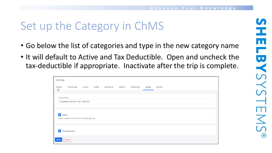### Set up the Category in ChMS

- Go below the list of categories and type in the new category name
- It will default to Active and Tax Deductible. Open and uncheck the tax-deductible if appropriate. Inactivate after the trip is complete.

| Settings                                         |                                                     |        |         |            |          |              |        |          |
|--------------------------------------------------|-----------------------------------------------------|--------|---------|------------|----------|--------------|--------|----------|
| General<br>₾                                     | Terminology                                         | Groups | Profile | Attendance | Check-In | Interactions | Giving | Services |
|                                                  |                                                     |        |         |            |          |              |        |          |
|                                                  | Category Name<br>Guatemala Mission Trip - Fall 2022 |        |         |            |          |              |        |          |
|                                                  |                                                     |        |         |            |          |              |        |          |
| $\blacktriangledown$                             | Active                                              |        |         |            |          |              |        |          |
| Active Categories show up when inputting giving. |                                                     |        |         |            |          |              |        |          |
| Tax Deductible                                   |                                                     |        |         |            |          |              |        |          |
|                                                  |                                                     |        |         |            |          |              |        |          |
| Save                                             | <b>Delete</b>                                       |        |         |            |          |              |        |          |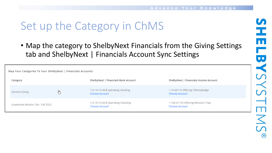# Set up the Category in ChMS

• Map the category to ShelbyNext Financials from the Giving Settings tab and ShelbyNext | Financials Account Sync Settings

| Map Your Categories To Your ShelbyNext   Financials Accounts |                |       |                                                           |                                                              |  |  |
|--------------------------------------------------------------|----------------|-------|-----------------------------------------------------------|--------------------------------------------------------------|--|--|
|                                                              | Category       |       | ShelbyNext   Financials Bank Account                      | ShelbyNext   Financials Income Account                       |  |  |
|                                                              | General Giving | مرر ا | 1-0-10110 ACB operating checking<br><b>Choose Account</b> | 1-10-40110 Offering-Tithes/pledge<br><b>Choose Account</b>   |  |  |
| Guatemala Mission Trip - Fall 2022                           |                |       | 1-0-10110 ACB Operating Checking<br><b>Choose Account</b> | 1-100-41170 Offering-Missions Trips<br><b>Choose Account</b> |  |  |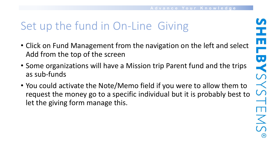# Set up the fund in On-Line Giving

- Click on Fund Management from the navigation on the left and select Add from the top of the screen
- Some organizations will have a Mission trip Parent fund and the trips as sub-funds
- You could activate the Note/Memo field if you were to allow them to request the money go to a specific individual but it is probably best to let the giving form manage this.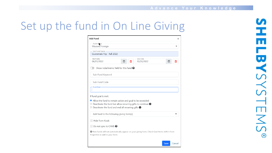### Set up the fund in On Line Giving

| <b>Add Fund</b><br>$\times$                                                                                                                                                                                   |  |  |  |  |  |  |  |
|---------------------------------------------------------------------------------------------------------------------------------------------------------------------------------------------------------------|--|--|--|--|--|--|--|
| Parent Frind<br>Missions Foreign                                                                                                                                                                              |  |  |  |  |  |  |  |
| Sub-Fund Name<br>Guatemala Trip - Fall 2022                                                                                                                                                                   |  |  |  |  |  |  |  |
| Start Date<br>End Date<br>06/01/2022<br>圖<br>10/26/2022<br>圃<br>▥<br>Ш                                                                                                                                        |  |  |  |  |  |  |  |
| Show note/memo field for this fund $\Theta$                                                                                                                                                                   |  |  |  |  |  |  |  |
| Sub-Fund Keyword                                                                                                                                                                                              |  |  |  |  |  |  |  |
| Sub-Fund Code                                                                                                                                                                                                 |  |  |  |  |  |  |  |
| Fund Goal-                                                                                                                                                                                                    |  |  |  |  |  |  |  |
| If fund goal is met:                                                                                                                                                                                          |  |  |  |  |  |  |  |
| • Allow the fund to remain active and goal to be exceeded<br>$\circ$ Deactivate the fund but allow recurring gifts to continue $\bullet$<br>$\circ$ Deactivate the fund and end all recurring gifts $\bullet$ |  |  |  |  |  |  |  |
| Add fund to the following giving form(s)                                                                                                                                                                      |  |  |  |  |  |  |  |
| Hide from Kiosk                                                                                                                                                                                               |  |  |  |  |  |  |  |
| Do not sync to ChMS <sup>●</sup>                                                                                                                                                                              |  |  |  |  |  |  |  |
| A New funds will not automatically appear on your giving form. Check fund Items within Form<br>Properties to add to your form.                                                                                |  |  |  |  |  |  |  |
| Save<br>Cancel                                                                                                                                                                                                |  |  |  |  |  |  |  |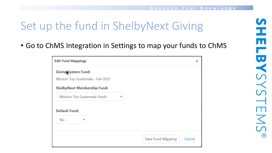# Set up the fund in ShelbyNext Giving

• Go to ChMS Integration in Settings to map your funds to ChMS

| <b>Edit Fund Mappings</b>                  |              | ×                           |
|--------------------------------------------|--------------|-----------------------------|
| <b>Giving System Fund:</b>                 |              |                             |
| Mission Trip Guatemala - Fall 2022         |              |                             |
| <b>ShelbyNext Membership Fund:</b>         |              |                             |
| Mission Trip Guatemala Youth               | $\checkmark$ |                             |
| <b>Default Fund:</b><br>No<br>$\checkmark$ |              |                             |
|                                            |              | Save Fund Mapping<br>Cancel |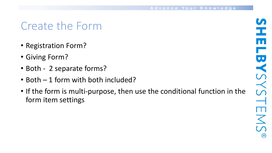### Create the Form

- Registration Form?
- Giving Form?
- Both 2 separate forms?
- Both 1 form with both included?
- If the form is multi-purpose, then use the conditional function in the form item settings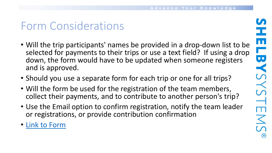## Form Considerations

- Will the trip participants' names be provided in a drop-down list to be selected for payments to their trips or use a text field? If using a drop down, the form would have to be updated when someone registers and is approved.
- Should you use a separate form for each trip or one for all trips?
- Will the form be used for the registration of the team members, collect their payments, and to contribute to another person's trip?
- Use the Email option to confirm registration, notify the team leader or registrations, or provide contribution confirmation
- [Link to Form](https://90726.shelbynextchms.com/external/form/a7d8c94b-459d-442f-acdd-0701902563ba)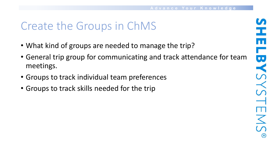### Create the Groups in ChMS

- What kind of groups are needed to manage the trip?
- General trip group for communicating and track attendance for team meetings.
- Groups to track individual team preferences
- Groups to track skills needed for the trip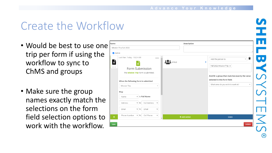#### Create the Workflow

- Would be best to use one trip per form if using the workflow to sync to ChMS and groups
- Make sure the group names exactly match the selections on the form field selection options to work with the workflow.

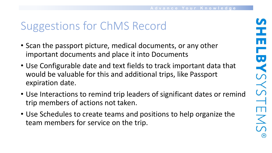# Suggestions for ChMS Record

- Scan the passport picture, medical documents, or any other important documents and place it into Documents
- Use Configurable date and text fields to track important data that would be valuable for this and additional trips, like Passport expiration date.
- Use Interactions to remind trip leaders of significant dates or remind trip members of actions not taken.
- Use Schedules to create teams and positions to help organize the team members for service on the trip.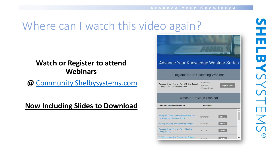## Where can I watch this video again?

#### **Watch or Register to attend Webinars**

**@** [Community.Shelbysystems.com](http://community.shelbysystems.com/)

#### **Now Including Slides to Download**



工 **LBYSYSTEMS**  $\circledast$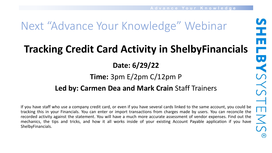# Next "Advance Your Knowledge" Webinar

# **Tracking Credit Card Activity in ShelbyFinancials**

**Date: 6/29/22**

#### **Time:** 3pm E/2pm C/12pm P

#### **Led by: Carmen Dea and Mark Crain** Staff Trainers

If you have staff who use a company credit card, or even if you have several cards linked to the same account, you could be tracking this in your Financials. You can enter or import transactions from charges made by users. You can reconcile the recorded activity against the statement. You will have a much more accurate assessment of vendor expenses. Find out the mechanics, the tips and tricks, and how it all works inside of your existing Account Payable application if you have ShelbyFinancials.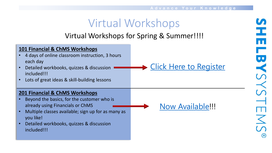### Virtual Workshops

#### Virtual Workshops for Spring & Summer!!!!

| 101 Financial & ChMS Workshops<br>4 days of online classroom instruction, 3 hours<br>each day<br>Detailed workbooks, quizzes & discussion<br>included!!!                                                                                       | Click Here to Register  |
|------------------------------------------------------------------------------------------------------------------------------------------------------------------------------------------------------------------------------------------------|-------------------------|
| Lots of great ideas & skill-building lessons<br>$\bullet$                                                                                                                                                                                      |                         |
| 201 Financial & ChMS Workshops<br>Beyond the basics, for the customer who is<br>already using Financials or ChMS<br>Multiple classes available; sign up for as many as<br>you like!<br>Detailed workbooks, quizzes & discussion<br>included!!! | <b>Now Available!!!</b> |